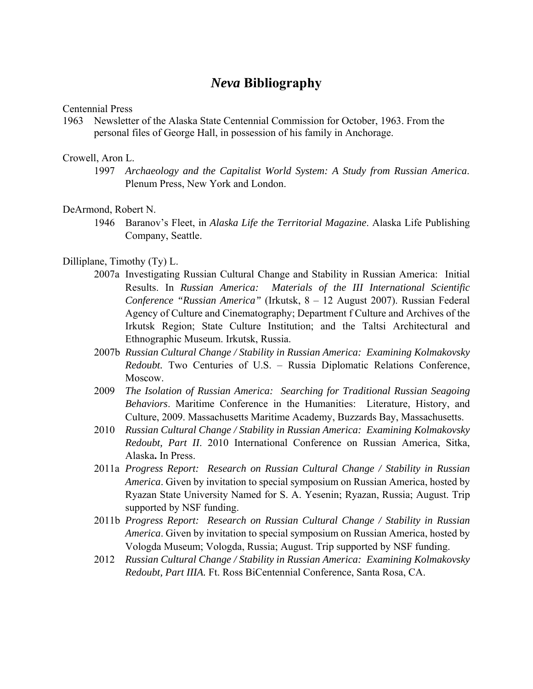# *Neva* **Bibliography**

Centennial Press

1963 Newsletter of the Alaska State Centennial Commission for October, 1963. From the personal files of George Hall, in possession of his family in Anchorage.

# Crowell, Aron L.

1997 *Archaeology and the Capitalist World System: A Study from Russian America*. Plenum Press, New York and London.

## DeArmond, Robert N.

1946 Baranov's Fleet, in *Alaska Life the Territorial Magazine*. Alaska Life Publishing Company, Seattle.

## Dilliplane, Timothy (Ty) L.

- 2007a Investigating Russian Cultural Change and Stability in Russian America: Initial Results. In *Russian America: Materials of the III International Scientific Conference "Russian America"* (Irkutsk, 8 – 12 August 2007). Russian Federal Agency of Culture and Cinematography; Department f Culture and Archives of the Irkutsk Region; State Culture Institution; and the Taltsi Architectural and Ethnographic Museum. Irkutsk, Russia.
- 2007b *Russian Cultural Change / Stability in Russian America: Examining Kolmakovsky Redoubt.* Two Centuries of U.S. – Russia Diplomatic Relations Conference, Moscow.
- 2009 *The Isolation of Russian America: Searching for Traditional Russian Seagoing Behaviors*. Maritime Conference in the Humanities: Literature, History, and Culture, 2009. Massachusetts Maritime Academy, Buzzards Bay, Massachusetts.
- 2010 *Russian Cultural Change / Stability in Russian America: Examining Kolmakovsky Redoubt, Part II*. 2010 International Conference on Russian America, Sitka, Alaska**.** In Press.
- 2011a *Progress Report: Research on Russian Cultural Change / Stability in Russian America*. Given by invitation to special symposium on Russian America, hosted by Ryazan State University Named for S. A. Yesenin; Ryazan, Russia; August. Trip supported by NSF funding.
- 2011b *Progress Report: Research on Russian Cultural Change / Stability in Russian America*. Given by invitation to special symposium on Russian America, hosted by Vologda Museum; Vologda, Russia; August. Trip supported by NSF funding.
- 2012 *Russian Cultural Change / Stability in Russian America: Examining Kolmakovsky Redoubt, Part IIIA.* Ft. Ross BiCentennial Conference, Santa Rosa, CA.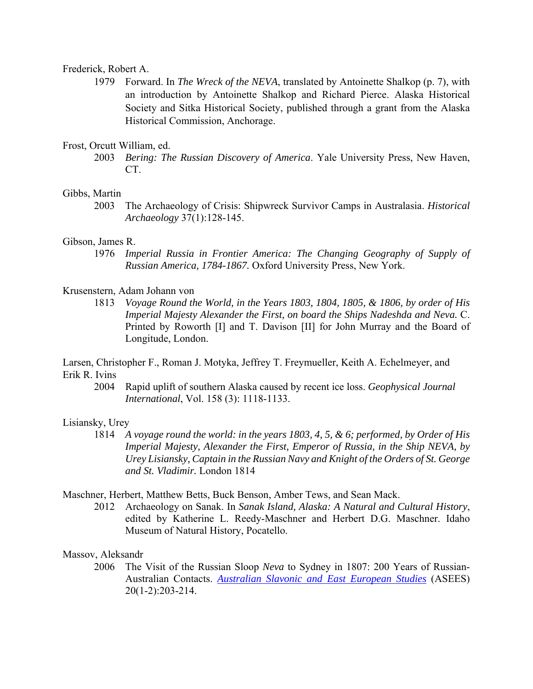#### Frederick, Robert A.

1979 Forward. In *The Wreck of the NEVA*, translated by Antoinette Shalkop (p. 7), with an introduction by Antoinette Shalkop and Richard Pierce. Alaska Historical Society and Sitka Historical Society, published through a grant from the Alaska Historical Commission, Anchorage.

# Frost, Orcutt William, ed.

2003 *Bering: The Russian Discovery of America*. Yale University Press, New Haven, CT.

## Gibbs, Martin

2003 The Archaeology of Crisis: Shipwreck Survivor Camps in Australasia. *Historical Archaeology* 37(1):128-145.

#### Gibson, James R.

1976 *Imperial Russia in Frontier America: The Changing Geography of Supply of Russian America, 1784-1867.* Oxford University Press, New York.

## Krusenstern, Adam Johann von

1813 *Voyage Round the World, in the Years 1803, 1804, 1805, & 1806, by order of His Imperial Majesty Alexander the First, on board the Ships Nadeshda and Neva.* C. Printed by Roworth [I] and T. Davison [II] for John Murray and the Board of Longitude, London.

Larsen, Christopher F., Roman J. Motyka, Jeffrey T. Freymueller, Keith A. Echelmeyer, and Erik R. Ivins

2004 Rapid uplift of southern Alaska caused by recent ice loss. *Geophysical Journal International*, Vol. 158 (3): 1118-1133.

#### Lisiansky, Urey

1814 *A voyage round the world: in the years 1803, 4, 5, & 6; performed, by Order of His Imperial Majesty, Alexander the First, Emperor of Russia, in the Ship NEVA, by Urey Lisiansky, Captain in the Russian Navy and Knight of the Orders of St. George and St. Vladimir.* London 1814

## Maschner, Herbert, Matthew Betts, Buck Benson, Amber Tews, and Sean Mack.

2012 Archaeology on Sanak. In *Sanak Island, Alaska: A Natural and Cultural History*, edited by Katherine L. Reedy-Maschner and Herbert D.G. Maschner. Idaho Museum of Natural History, Pocatello.

## Massov, Aleksandr

2006 The Visit of the Russian Sloop *Neva* to Sydney in 1807: 200 Years of Russian-Australian Contacts. *Australian Slavonic and East European Studies* (ASEES) 20(1-2):203-214.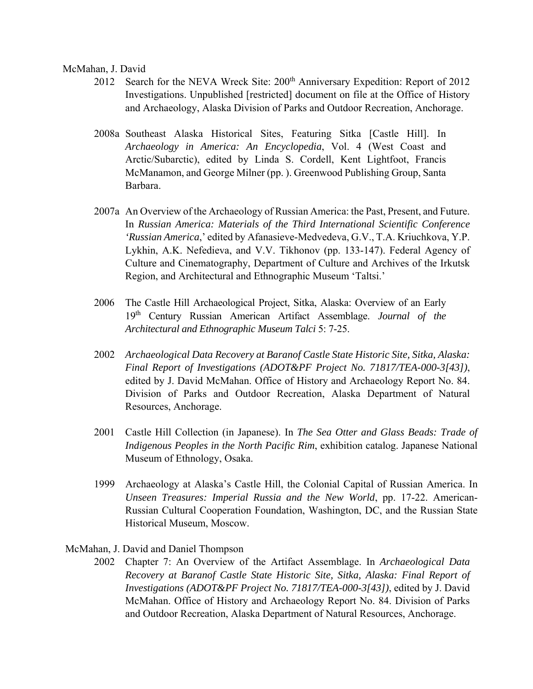McMahan, J. David

- 2012 Search for the NEVA Wreck Site: 200<sup>th</sup> Anniversary Expedition: Report of 2012 Investigations. Unpublished [restricted] document on file at the Office of History and Archaeology, Alaska Division of Parks and Outdoor Recreation, Anchorage.
- 2008a Southeast Alaska Historical Sites, Featuring Sitka [Castle Hill]. In *Archaeology in America: An Encyclopedia*, Vol. 4 (West Coast and Arctic/Subarctic), edited by Linda S. Cordell, Kent Lightfoot, Francis McManamon, and George Milner (pp. ). Greenwood Publishing Group, Santa Barbara.
- 2007a An Overview of the Archaeology of Russian America: the Past, Present, and Future. In *Russian America: Materials of the Third International Scientific Conference 'Russian America*,' edited by Afanasieve-Medvedeva, G.V., T.A. Kriuchkova, Y.P. Lykhin, A.K. Nefedieva, and V.V. Tikhonov (pp. 133-147). Federal Agency of Culture and Cinematography, Department of Culture and Archives of the Irkutsk Region, and Architectural and Ethnographic Museum 'Taltsi.'
- 2006 The Castle Hill Archaeological Project, Sitka, Alaska: Overview of an Early 19th Century Russian American Artifact Assemblage. *Journal of the Architectural and Ethnographic Museum Talci* 5: 7-25.
- 2002 *Archaeological Data Recovery at Baranof Castle State Historic Site, Sitka, Alaska: Final Report of Investigations (ADOT&PF Project No. 71817/TEA-000-3[43])*, edited by J. David McMahan. Office of History and Archaeology Report No. 84. Division of Parks and Outdoor Recreation, Alaska Department of Natural Resources, Anchorage.
- 2001 Castle Hill Collection (in Japanese). In *The Sea Otter and Glass Beads: Trade of Indigenous Peoples in the North Pacific Rim*, exhibition catalog. Japanese National Museum of Ethnology, Osaka.
- 1999 Archaeology at Alaska's Castle Hill, the Colonial Capital of Russian America. In *Unseen Treasures: Imperial Russia and the New World*, pp. 17-22. American-Russian Cultural Cooperation Foundation, Washington, DC, and the Russian State Historical Museum, Moscow.

## McMahan, J. David and Daniel Thompson

2002 Chapter 7: An Overview of the Artifact Assemblage. In *Archaeological Data Recovery at Baranof Castle State Historic Site, Sitka, Alaska: Final Report of Investigations (ADOT&PF Project No. 71817/TEA-000-3[43])*, edited by J. David McMahan. Office of History and Archaeology Report No. 84. Division of Parks and Outdoor Recreation, Alaska Department of Natural Resources, Anchorage.